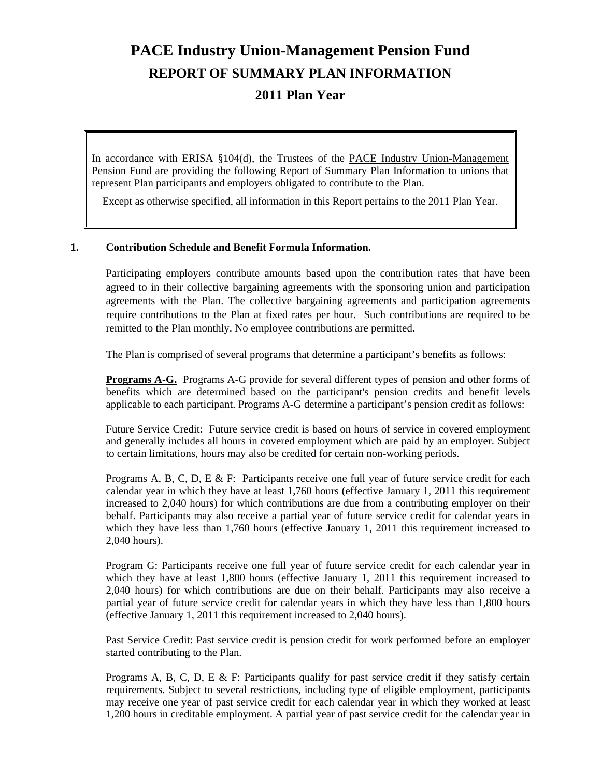# **PACE Industry Union-Management Pension Fund REPORT OF SUMMARY PLAN INFORMATION 2011 Plan Year**

In accordance with ERISA §104(d), the Trustees of the PACE Industry Union-Management Pension Fund are providing the following Report of Summary Plan Information to unions that represent Plan participants and employers obligated to contribute to the Plan.

Except as otherwise specified, all information in this Report pertains to the 2011 Plan Year.

# **1. Contribution Schedule and Benefit Formula Information.**

 Participating employers contribute amounts based upon the contribution rates that have been agreed to in their collective bargaining agreements with the sponsoring union and participation agreements with the Plan. The collective bargaining agreements and participation agreements require contributions to the Plan at fixed rates per hour. Such contributions are required to be remitted to the Plan monthly. No employee contributions are permitted.

The Plan is comprised of several programs that determine a participant's benefits as follows:

**Programs A-G.** Programs A-G provide for several different types of pension and other forms of benefits which are determined based on the participant's pension credits and benefit levels applicable to each participant. Programs A-G determine a participant's pension credit as follows:

Future Service Credit: Future service credit is based on hours of service in covered employment and generally includes all hours in covered employment which are paid by an employer. Subject to certain limitations, hours may also be credited for certain non-working periods.

Programs A, B, C, D, E & F: Participants receive one full year of future service credit for each calendar year in which they have at least 1,760 hours (effective January 1, 2011 this requirement increased to 2,040 hours) for which contributions are due from a contributing employer on their behalf. Participants may also receive a partial year of future service credit for calendar years in which they have less than 1,760 hours (effective January 1, 2011 this requirement increased to 2,040 hours).

Program G: Participants receive one full year of future service credit for each calendar year in which they have at least 1,800 hours (effective January 1, 2011 this requirement increased to 2,040 hours) for which contributions are due on their behalf. Participants may also receive a partial year of future service credit for calendar years in which they have less than 1,800 hours (effective January 1, 2011 this requirement increased to 2,040 hours).

Past Service Credit: Past service credit is pension credit for work performed before an employer started contributing to the Plan.

Programs A, B, C, D, E & F: Participants qualify for past service credit if they satisfy certain requirements. Subject to several restrictions, including type of eligible employment, participants may receive one year of past service credit for each calendar year in which they worked at least 1,200 hours in creditable employment. A partial year of past service credit for the calendar year in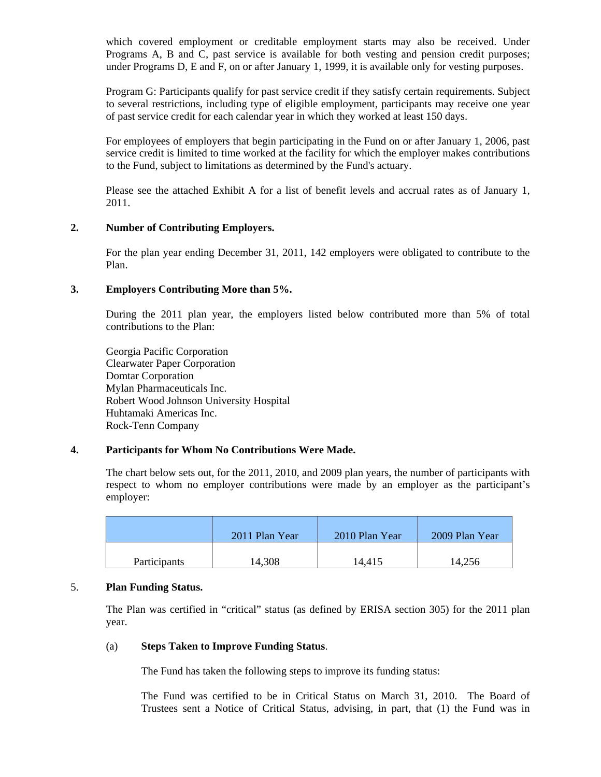which covered employment or creditable employment starts may also be received. Under Programs A, B and C, past service is available for both vesting and pension credit purposes; under Programs D, E and F, on or after January 1, 1999, it is available only for vesting purposes.

Program G: Participants qualify for past service credit if they satisfy certain requirements. Subject to several restrictions, including type of eligible employment, participants may receive one year of past service credit for each calendar year in which they worked at least 150 days.

For employees of employers that begin participating in the Fund on or after January 1, 2006, past service credit is limited to time worked at the facility for which the employer makes contributions to the Fund, subject to limitations as determined by the Fund's actuary.

Please see the attached Exhibit A for a list of benefit levels and accrual rates as of January 1, 2011.

# **2. Number of Contributing Employers.**

 For the plan year ending December 31, 2011, 142 employers were obligated to contribute to the Plan.

# **3. Employers Contributing More than 5%.**

 During the 2011 plan year, the employers listed below contributed more than 5% of total contributions to the Plan:

 Georgia Pacific Corporation Clearwater Paper Corporation Domtar Corporation Mylan Pharmaceuticals Inc. Robert Wood Johnson University Hospital Huhtamaki Americas Inc. Rock-Tenn Company

# **4. Participants for Whom No Contributions Were Made.**

The chart below sets out, for the 2011, 2010, and 2009 plan years, the number of participants with respect to whom no employer contributions were made by an employer as the participant's employer:

|                     | 2011 Plan Year | 2010 Plan Year | 2009 Plan Year |
|---------------------|----------------|----------------|----------------|
| <b>Participants</b> | 14,308         | 14,415         | 14,256         |

# 5. **Plan Funding Status.**

 The Plan was certified in "critical" status (as defined by ERISA section 305) for the 2011 plan year.

### (a) **Steps Taken to Improve Funding Status**.

The Fund has taken the following steps to improve its funding status:

The Fund was certified to be in Critical Status on March 31, 2010. The Board of Trustees sent a Notice of Critical Status, advising, in part, that (1) the Fund was in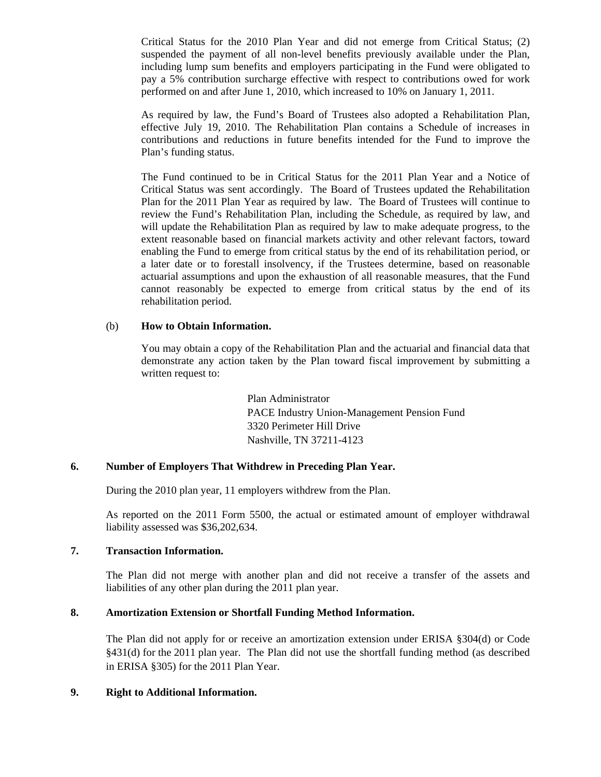Critical Status for the 2010 Plan Year and did not emerge from Critical Status; (2) suspended the payment of all non-level benefits previously available under the Plan, including lump sum benefits and employers participating in the Fund were obligated to pay a 5% contribution surcharge effective with respect to contributions owed for work performed on and after June 1, 2010, which increased to 10% on January 1, 2011.

As required by law, the Fund's Board of Trustees also adopted a Rehabilitation Plan, effective July 19, 2010. The Rehabilitation Plan contains a Schedule of increases in contributions and reductions in future benefits intended for the Fund to improve the Plan's funding status.

The Fund continued to be in Critical Status for the 2011 Plan Year and a Notice of Critical Status was sent accordingly. The Board of Trustees updated the Rehabilitation Plan for the 2011 Plan Year as required by law. The Board of Trustees will continue to review the Fund's Rehabilitation Plan, including the Schedule, as required by law, and will update the Rehabilitation Plan as required by law to make adequate progress, to the extent reasonable based on financial markets activity and other relevant factors, toward enabling the Fund to emerge from critical status by the end of its rehabilitation period, or a later date or to forestall insolvency, if the Trustees determine, based on reasonable actuarial assumptions and upon the exhaustion of all reasonable measures, that the Fund cannot reasonably be expected to emerge from critical status by the end of its rehabilitation period.

# (b) **How to Obtain Information.**

You may obtain a copy of the Rehabilitation Plan and the actuarial and financial data that demonstrate any action taken by the Plan toward fiscal improvement by submitting a written request to:

> Plan Administrator PACE Industry Union-Management Pension Fund 3320 Perimeter Hill Drive Nashville, TN 37211-4123

# **6. Number of Employers That Withdrew in Preceding Plan Year.**

During the 2010 plan year, 11 employers withdrew from the Plan.

 As reported on the 2011 Form 5500, the actual or estimated amount of employer withdrawal liability assessed was \$36,202,634.

### **7. Transaction Information.**

The Plan did not merge with another plan and did not receive a transfer of the assets and liabilities of any other plan during the 2011 plan year.

# **8. Amortization Extension or Shortfall Funding Method Information.**

The Plan did not apply for or receive an amortization extension under ERISA §304(d) or Code §431(d) for the 2011 plan year. The Plan did not use the shortfall funding method (as described in ERISA §305) for the 2011 Plan Year.

# **9. Right to Additional Information.**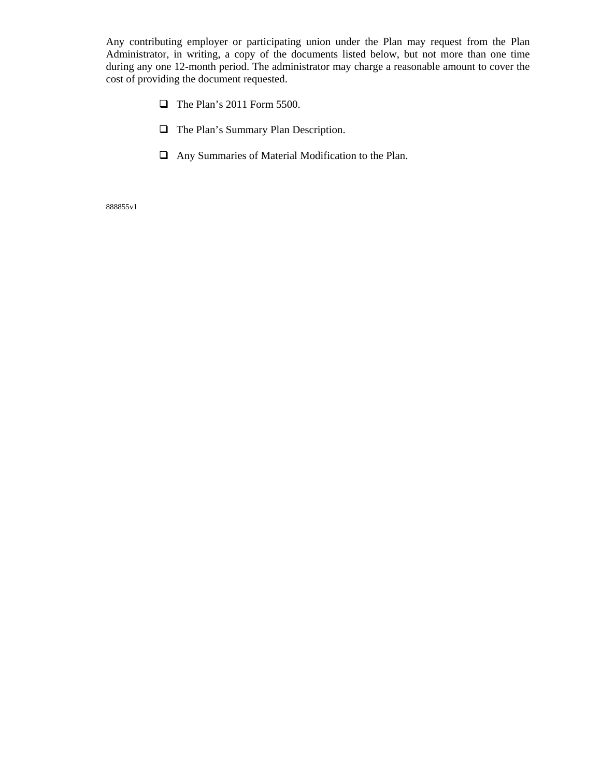Any contributing employer or participating union under the Plan may request from the Plan Administrator, in writing, a copy of the documents listed below, but not more than one time during any one 12-month period. The administrator may charge a reasonable amount to cover the cost of providing the document requested.

- $\Box$  The Plan's 2011 Form 5500.
- The Plan's Summary Plan Description.
- Any Summaries of Material Modification to the Plan.

888855v1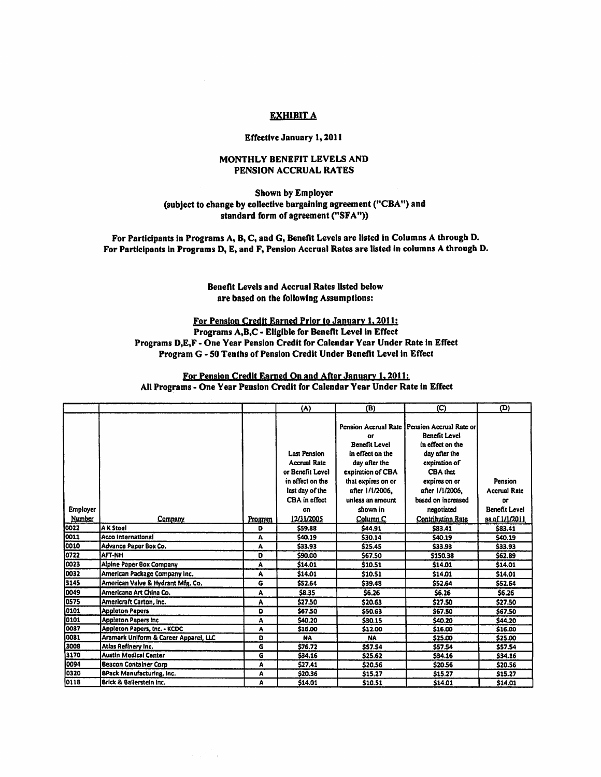#### **EXHIBIT A**

#### **Effective January 1, 2011**

#### MONTHLY BENEFIT LEVELS AND PENSION ACCRUAL RATES

#### Shown by Employer (subject to change by collective bargaining agreement ("CBA") and standard form of agreement ("SFA"))

For Participants in Programs A, B, C, and G, Benefit Levels are listed in Columns A through D. For Participants in Programs D, E, and F, Pension Accrual Rates are listed in columns A through D.

#### Benefit Levels and Accrual Rates listed below are based on the following Assumptions:

For Pension Credit Earned Prior to January 1, 2011: Programs A,B,C - Eligible for Benefit Level in Effect Programs D,E,F - One Year Pension Credit for Calendar Year Under Rate in Effect Program G - 50 Tenths of Pension Credit Under Benefit Level in Effect

#### For Pension Credit Earned On and After January 1, 2011; All Programs - One Year Pension Credit for Calendar Year Under Rate in Effect

|          |                                       |         | (A)                 | (B)                        | (C)                                                                                        | (D)                 |
|----------|---------------------------------------|---------|---------------------|----------------------------|--------------------------------------------------------------------------------------------|---------------------|
|          |                                       |         |                     | or<br><b>Benefit Level</b> | Pension Accrual Rate   Pension Accrual Rate or<br><b>Benefit Level</b><br>in effect on the |                     |
|          |                                       |         | <b>Last Pension</b> | in effect on the           | day after the                                                                              |                     |
|          |                                       |         | <b>Accrual Rate</b> | day after the              | expiration of                                                                              |                     |
|          |                                       |         | or Benefit Level    | expiration of CBA          | CBA that                                                                                   |                     |
|          |                                       |         | in effect on the    | that expires on or         | expires on or                                                                              | Pension             |
|          |                                       |         | last day of the     | after 1/1/2006.            | after 1/1/2006.                                                                            | <b>Accrual Rate</b> |
|          |                                       |         | CBA in effect       | unless an amount           | based on increased                                                                         | or                  |
| Employer |                                       |         | cn                  | shown in                   | negotiated                                                                                 | Benefit Level       |
| Number   | Company                               | Program | 12/31/2005          | Column C                   | <b>Contribution Rate</b>                                                                   | as of 1/1/2011      |
| 0022     | A K Steel                             | D       | \$59.88             | \$44.91                    | \$83.41                                                                                    | \$83.41             |
| 0011     | <b>Acco International</b>             | A       | \$40.19             | \$30.14                    | \$40.19                                                                                    | \$40.19             |
| 0010     | Advance Paper Box Co.                 | A       | \$33.93             | \$25.45                    | \$33.93                                                                                    | \$33.93             |
| 0722     | <b>AFT-NH</b>                         | D       | \$90.00             | \$67.50                    | \$150.38                                                                                   | \$62.89             |
| 0023     | Alpine Paper Box Company              | A       | \$14.01             | \$10.51                    | \$14.01                                                                                    | \$14.01             |
| 0032     | American Package Company Inc.         | A       | \$14.01             | \$10.51                    | \$14.01                                                                                    | \$14.01             |
| 3145     | American Valve & Hydrant Mfg. Co.     | G       | \$52.64             | 539.48                     | \$52.64                                                                                    | \$52.64             |
| 0049     | Americana Art China Co.               | A       | \$8.35              | \$6.26                     | <b>S6.26</b>                                                                               | \$6.26              |
| 0575     | Americraft Carton, Inc.               | A       | \$27.50             | \$20.63                    | \$27.50                                                                                    | \$27.50             |
| 0101     | <b>Appleton Papers</b>                | D       | \$67.50             | \$50.63                    | <b>S67.50</b>                                                                              | \$67.50             |
| 0101     | <b>Appleton Papers Inc.</b>           | A       | \$40.20             | \$30.15                    | \$40.20                                                                                    | \$44.20             |
| 0087     | Appleton Papers, Inc. - KCDC          | A       | \$16.00             | \$12.00                    | \$16.00                                                                                    | \$16.00             |
| 0081     | Aramark Uniform & Career Apparel, LLC | D       | <b>NA</b>           | <b>NA</b>                  | \$25.00                                                                                    | \$25.00             |
| 3008     | Atlas Refinery Inc.                   | G       | \$76.72             | \$57.54                    | <b>\$57.54</b>                                                                             | \$57.54             |
| 3170     | Austin Medical Center                 | G       | \$34.16             | \$25.62                    | \$34.16                                                                                    | \$34.16             |
| 0094     | <b>Beacon Container Corp</b>          | A       | \$27.41             | \$20.56                    | \$20.56                                                                                    | \$20.56             |
| 0320     | <b>8Pack Manufacturing, Inc.</b>      | A       | \$20.36             | \$15.27                    | \$15.27                                                                                    | \$15.27             |
| 0118     | <b>Brick &amp; Bailerstein Inc.</b>   | A       | \$14.01             | \$10.51                    | \$14.01                                                                                    | \$14.01             |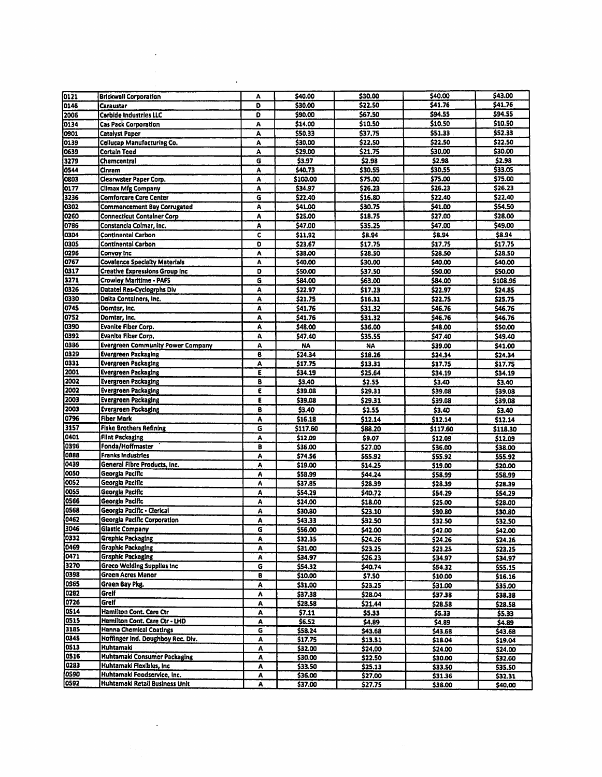| 0121         | <b>Brickwall Corporation</b>                                    | Α      | \$40.00             | \$30.00            | \$40.00             | \$43.00             |
|--------------|-----------------------------------------------------------------|--------|---------------------|--------------------|---------------------|---------------------|
| 0146         | Caraustar                                                       | D      | \$30.00             | \$22.50            | \$41.76             | \$41.76             |
| 2006         | <b>Carbide Industries LLC</b>                                   | D      | \$90.00             | \$67.50            | \$94.55             | \$94.55             |
| 0134         | <b>Cas Pack Corporation</b>                                     | Α      | \$14.00             | \$10.50            | \$10.50             | \$10.50             |
| 0901         | <b>Catalyst Paper</b>                                           | A      | \$50.33             | \$37.75            | \$51.33             | \$52.33             |
| 0139         | Cellucap Manufacturing Co.                                      | A      | \$30.00             | \$22.50            | \$22.50<br>\$30.00  | \$22.50<br>\$30.00  |
| 0639<br>3279 | <b>Certain Teed</b><br>Chemcentral                              | A<br>G | \$29.00<br>\$3.97   | \$21.75<br>\$2.98  | \$2.98              | \$2.98              |
| 0544         | Cinram                                                          | A      | \$40.73             | \$30.55            | \$30,55             | \$33.05             |
| 0803         | Clearwater Paper Corp.                                          | A      | \$100.00            | \$75.00            | \$75.00             | \$75.00             |
| 0177         | <b>Climax Mfg Company</b>                                       | A      | \$34.97             | \$26.23            | \$26.23             | \$26.23             |
| 3236         | <b>Comforcare Care Center</b>                                   | G      | \$22.40             | \$16.80            | \$22.40             | \$22,40             |
| 0302         | <b>Commencement Bay Corrugated</b>                              | Α      | \$41.00             | \$30.75            | \$41.00             | \$54.50             |
| 0260         | <b>Connecticut Container Corp</b>                               | A      | \$25.00             | \$18.75            | \$27.00             | \$28.00             |
| 0786         | Constancia Colmar, Inc.                                         | A      | \$47.00             | \$35.25            | \$47.00             | \$49.00             |
| 0304<br>0305 | <b>Continental Carbon</b><br><b>Continental Carbon</b>          | c<br>O | \$11.92<br>\$23.67  | \$8.94<br>\$17.75  | \$8.94<br>\$17.75   | \$8.94<br>\$17.75   |
| 0296         | Convoy Inc                                                      | A      | \$38.00             | \$28.50            | \$28.50             | \$28.50             |
| 0767         | <b>Covalence Specialty Materials</b>                            | A      | \$40.00             | \$30.00            | \$40.00             | \$40.00             |
| 0317         | <b>Creative Expressions Group Inc.</b>                          | D      | \$50.00             | \$37.50            | \$50.00             | \$50.00             |
| 3271         | Crowley Maritime - PAFS                                         | G      | \$84.00             | \$63.00            | \$84.00             | \$108.96            |
| 0326         | <b>Datatel Res-Cyclogrphs Div</b>                               | Α      | \$22.97             | \$17.23            | \$22.97             | \$24.85             |
| 0330         | Delta Containers, Inc.                                          | А      | \$21.75             | \$16.31            | \$22.75             | \$25.75             |
| 0745         | Domtar, Inc.                                                    | A      | \$41.76             | \$31.32            | \$46.76             | \$46.76             |
| 0752         | Domtar, Inc.                                                    | A      | \$41.76             | \$31.32            | \$46.76             | \$46.76             |
| 0390<br>0392 | <b>Evanite Fiber Corp.</b><br><b>Evanite Fiber Corp.</b>        | A<br>A | \$48.00<br>\$47.40  | \$36.00<br>\$35.55 | \$48.00             | \$50.00             |
| 0386         | <b>Evergreen Community Power Company</b>                        | Α      | <b>NA</b>           | <b>NA</b>          | \$47.40<br>\$39.00  | \$49.40<br>\$41.00  |
| 0329         | <b>Evergreen Packaging</b>                                      | 8      | \$24.34             | \$18.26            | \$24,34             | \$24.34             |
| 0331         | <b>Evergreen Packaging</b>                                      | A      | \$17.75             | \$13.31            | \$17.75             | \$17.75             |
| 2001         | Evergreen Packaging                                             | E      | \$34.19             | \$25.64            | \$34.19             | \$34.19             |
| 2002         | <b>Evergreen Packaging</b>                                      | B      | \$3,40              | \$2.55             | \$3.40              | \$3.40              |
| 2002         | <b>Evergreen Packaging</b>                                      | E      | \$39.08             | \$29.31            | \$39.08             | \$39.08             |
| 2003         | <b>Evergreen Packaging</b>                                      | ε      | \$39.08             | \$29.31            | \$39.08             | \$39,08             |
| 2003<br>0796 | <b>Evergreen Packaging</b><br><b>Fiber Mark</b>                 | 8      | \$3.40              | \$2.55             | \$3.40              | \$3.40              |
| 3157         | <b>Fiske Brothers Refining</b>                                  | ٨<br>G | \$16,18<br>\$117.60 | \$12.14<br>\$88.20 | \$12.14<br>\$117.60 | \$12.14<br>\$118.30 |
| 0401         | <b>Flint Packaging</b>                                          | A      | \$12,09             | \$9.07             | \$12.09             | \$12.09             |
| 0396         | Fonda/Hoffmaster                                                | B      | \$36.00             | \$27.00            | \$36.00             | \$38.00             |
| 6880         | <b>Franks Industries</b>                                        | ٨      | \$74.56             | \$55.92            | \$55.92             | \$55.92             |
| 0439         | General Fibre Products, Inc.                                    | A      | \$19.00             | \$14.25            | \$19.00             | \$20.00             |
| 0050         | Georgia Pacific                                                 | A      | \$58.99             | \$44.24            | \$58.99             | \$58.99             |
| 0052         | Georgia Pacific                                                 | A      | \$37.85             | \$28.39            | \$28.39             | \$28.39             |
| 0055<br>0566 | Georgia Pacific<br>Georgia Pacific                              | Α      | \$54.29             | \$40.72            | \$54.29             | \$54.29             |
| 0568         | Georgia Pacific - Clerical                                      | A<br>٨ | \$24.00<br>\$30.80  | \$18.00<br>\$23.10 | \$25.00<br>\$30.80  | \$28.00<br>\$30.80  |
| 0462         | Georgia Pacific Corporation                                     | A      | \$43.33             | \$32.50            | \$32.50             | \$32.50             |
| 3046         | Glastic Company                                                 | G      | \$56.00             | \$42.00            | \$42.00             | \$42.00             |
| 0332         | <b>Graphic Packaging</b>                                        | A      | \$32.35             | \$24.26            | \$24.26             | \$24.26             |
| 0469         | <b>Graphic Packaging</b>                                        | A      | \$31.00             | \$23.25            | \$23.25             | \$23.25             |
| 0471         | <b>Graphic Packaging</b>                                        | A      | \$34.97             | \$26.23            | \$34.97             | \$34.97             |
| 3270         | <b>Greco Welding Supplies Inc.</b>                              | G      | \$54.32             | \$40.74            | \$54.32             | \$55.15             |
| 0398<br>0965 | Green Acres Manor                                               | B      | \$10.00             | \$7.50             | \$10.00             | \$16.16             |
| 0282         | Green Bay Pkg.<br>Greif                                         | A      | \$31,00             | \$23.25            | \$31.00             | \$35.00             |
| 0726         | Grelf                                                           | ٨<br>A | \$37.38<br>\$28.58  | \$28.04            | \$37.38             | \$38.38             |
| 0514         | Hamilton Cont. Care Ctr                                         | A      | 57.11               | \$21.44<br>\$5.33  | \$28.58<br>\$5.33   | \$28.58<br>\$5.33   |
| 0515         | Hamilton Cont. Care Ctr - LHD                                   | A      | \$6.52              | \$4.89             | \$4.89              | \$4.89              |
| 3185         | <b>Hanna Chemical Coatings</b>                                  | G      | \$58.24             | \$43.68            | \$43.68             | \$43.68             |
| 0345         | Hoffinger Ind. Doughboy Rec. Div.                               | A      | \$17.75             | \$13.31            | \$18.04             | \$19.04             |
| 0513         | Huhtamaki                                                       | A      | \$32.00             | \$24.00            | \$24.00             | \$24.00             |
| 0516<br>0283 | <b>Huhtamaki Consumer Packaging</b><br>Huhtamaki Flexibles, Inc | A      | \$30.00             | \$22.50            | \$30.00             | \$32.00             |
| 0590         | Huhtamaki Foodservice, Inc.                                     | A<br>A | \$33.50<br>\$36.00  | \$25.13<br>\$27.00 | \$33.50<br>\$31.36  | \$35.50             |
| 0592         | <b>Huhtamaki Retail Business Unit</b>                           | A      | \$37.00             | \$27.75            | \$38.00             | \$32.31<br>\$40.00  |
|              |                                                                 |        |                     |                    |                     |                     |

 $\mathcal{L}^{\text{max}}_{\text{max}}$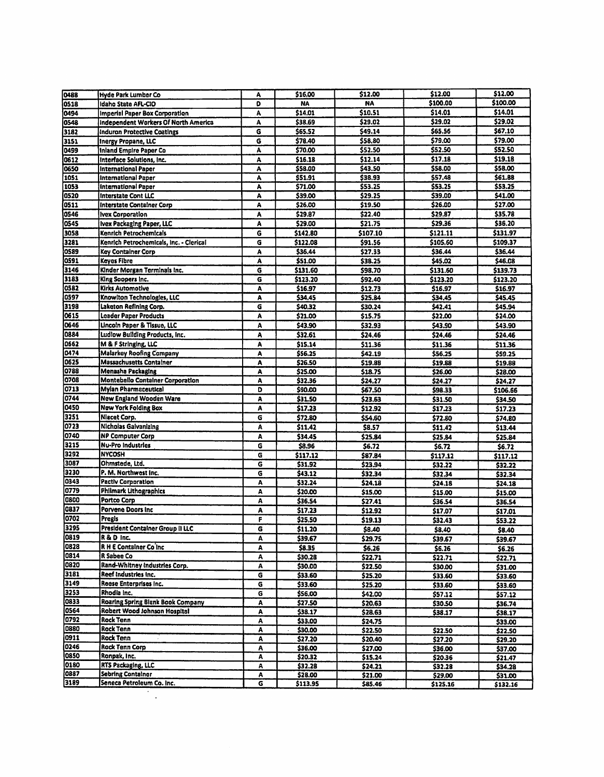| 0488         | <b>Hyde Park Lumber Co</b>                            | A      | \$16.00             | \$12.00            | \$12.00             | \$12.00             |
|--------------|-------------------------------------------------------|--------|---------------------|--------------------|---------------------|---------------------|
| 0518         | Idaho State AFL-CIO                                   | O      | <b>NA</b>           | <b>NA</b>          | \$100.00            | \$100.00            |
| 0494         | <b>Imperial Paper Box Corporation</b>                 | А      | \$14.01             | \$10.51            | \$14.01             | \$14.01             |
| 0548         | <b>Independent Workers Of North America</b>           | A      | \$38.69             | \$29.02            | \$29.02             | \$29.02             |
| 3182         | <b>Induron Protective Coatings</b>                    | G      | \$65.52             | \$49.14            | \$65.56             | \$67.10             |
| 3151         |                                                       | G      | \$78.40             | \$58.80            | \$79.00             | \$79.00             |
|              | Inergy Propane, LLC                                   |        |                     |                    | \$52.50             | \$52.50             |
| 0499         | Inland Empire Paper Co.                               | A      | \$70.00             | \$52.50            |                     |                     |
| 0612         | Interface Solutions, Inc.                             | A      | \$16.18             | \$12.14            | \$17.18             | \$19.18             |
| 0650         | International Paper                                   | A      | \$58.00             | \$43.50            | \$58.00             | \$58.00             |
| 1051         | International Paper                                   | A      | \$51.91             | \$38.93            | \$57,48             | \$61.88             |
| 1053         | <b>International Paper</b>                            | ٨      | \$71.00             | \$53.25            | \$53.25             | \$53.25             |
| 0520         | <b>Interstate Cont LLC</b>                            | A      | \$39.00             | \$29.25            | \$39.00             | \$41.00             |
| 0511         | <b>Interstate Container Corp</b>                      | A      | \$26.00             | \$19.50            | \$26.00             | \$27.00             |
| <b>0546</b>  | <b>Ivex Corporation</b>                               | Α      | \$29.87             | \$22.40            | \$29.87             | \$35.78             |
| 0545         | Ivex Packaging Paper, LLC                             | A      | \$29.00             | \$21.75            | \$29.36             | \$36.20             |
| 3058         | Kenrich Petrochemicals                                | G      | \$142.80            | \$107.10           | \$121.11            | \$131.97            |
| 3281         | Kenrich Petrochemicals, Inc. - Clerical               | G      | \$122.08            | \$91.56            | \$105.60            | \$109.37            |
| 0589         | <b>Key Container Corp</b>                             | Α      | \$36,44             | \$27.33            | \$36.44             | \$36.44             |
| 0591         | <b>Keyes Fibre</b>                                    | A      | \$51.00             | \$38.25            | \$45.02             | \$46.08             |
| 3146         | Kinder Morgan Terminals Inc.                          | G      | \$131.60            | \$98.70            | \$131.60            | \$139.73            |
| 3183         | King Soopers Inc.                                     | G      | \$123.20            | \$92.40            | \$123.20            | \$123.20            |
| 0582         | <b>Kirks Automotive</b>                               | Α      | \$16.97             | \$12.73            | \$16.97             | \$16.97             |
| 0597         | Knowiton Technologies, LLC                            | A      | \$34.45             | \$25.84            | \$34,45             | \$45.45             |
| 3198         | Laketon Refining Corp.                                | G      | \$40.32             | \$30.24            | \$42.41             | \$45.94             |
| 0615         | <b>Leader Paper Products</b>                          | Α      | \$21.00             | \$15.75            | \$22.00             | \$24.00             |
| 0646         | Lincoin Paper & Tissue, LLC                           | Α      | \$43.90             | \$32.93            | \$43.90             | \$43.90             |
| 0884         | Ludlow Building Products, Inc.                        | Α      | \$32.61             | \$24.46            | \$24,46             | \$24.46             |
| 0662         | M & F Stringing, LLC                                  | Α      | \$15.14             | \$11.36            | \$11.36             | \$11.36             |
| 0474         | Malarkey Roofing Company                              | Α      | \$56.25             | \$42.19            | \$56.25             | \$59.25             |
| 0625         | <b>Massachusetts Container</b>                        | A      | \$26.50             | \$19.88            | \$19.88             | \$19.88             |
| 0788         | Menasha Packaging                                     | A      | \$25.00             | \$18.75            | \$26.00             | \$28.00             |
| 0708         | Montebello Container Corporation                      | A      | \$32.36             | \$24.27            | \$24.27             | \$24,27             |
| 0713         | <b>Mylan Pharmaceutical</b>                           | D      | \$90.00             | \$67.50            | \$98.33             | \$106.66            |
| 0744         | New England Wooden Ware                               | A      | \$31.50             | \$23.63            | \$31.50             | \$34.50             |
| 0450         | <b>New York Folding Box</b>                           | A      | \$17.23             | \$12.92            | \$17.23             | \$17.23             |
| 3251         | Niacet Corp.                                          | G      | \$72,80             | \$54.60            | \$72.80             | \$74.80             |
| 0723         | <b>Nicholas Galvanizing</b>                           | A      | \$11.42             | \$8.57             | \$11.42             | \$13.44             |
| 0740         | <b>NP Computer Corp</b>                               | ٨      | \$34.45             | \$25.84            | \$25.84             | \$25.84             |
| 3215         | <b>Nu-Pro Industries</b>                              | G      | \$8.96              | \$6.72             | \$6.72              | \$6.72              |
| 3292         | <b>NYCOSH</b>                                         | G      | \$117.12            | \$87.84            | \$117.12            | \$117.12            |
| 3087         | Ohmstede, Ltd.                                        | G      | \$31.92             | \$23.94            | \$32.22             | \$32.22             |
| 3230         | P. M. Northwest Inc.                                  | G      | \$43.12             | \$32.34            | \$32.34             | \$32.34             |
| 0343         | <b>Pactiv Corporation</b>                             | A      | \$32.24             | \$24.18            | \$24.18             | \$24.18             |
| 0779         | <b>Philmark Lithographics</b>                         | A      | \$20.00             | \$15.00            | \$15.00             | \$15.00             |
| 0800         | Portco Corp                                           | A      | \$36.54             | \$27.41            | \$36.54             | \$36.54             |
| 0837         | Porvene Doors Inc.                                    | A      | \$17.23             | \$12.92            | \$17.07             | \$17.01             |
| 0702         | <b>Pregis</b>                                         | F      | \$25.50             | \$19.13            | \$32.43             | \$53.22             |
| 3295         | President Container Group II LLC                      | G      | \$11.20             | \$8.40             | \$8.40              | \$8.40              |
| 0819         | R & D Inc.                                            | Α      | \$39.67             | \$29.75            | \$39.67             |                     |
| 0828         | R H E Container Co Inc                                | A      | \$8.35              | \$6.26             |                     | \$39.67             |
| 0814         | R Sabee Co.                                           | А      | \$30.28             | \$22.71            | \$6.26              | \$6.26              |
| 0820         | Rand-Whitney Industries Corp.                         | A      | \$30.00             |                    | \$22.71             | \$22.71             |
| 3181         | Reef Industries Inc.                                  | G      |                     | \$22.50            | \$30.00             | \$31.00             |
| 3149         | Reese Enterprises Inc.                                | G      | \$33.60             | \$25.20            | \$33.60             | \$33.60             |
| 3253         | Rhodia Inc.                                           |        | \$33.60             | \$25.20            | \$33.60             | \$33.60             |
| 0833         | <b>Roaring Spring Blank Book Company</b>              | G      | \$56.00             | \$42.00            | \$57.12             | \$57.12             |
| 0564         | Robert Wood Johnson Hospital                          | A      | \$27.50             | \$20.63            | \$30.50             | \$36.74             |
| 0792         | <b>Rock Tenn</b>                                      | A      | \$38.17             | \$28.63            | \$38.17             | \$38.17             |
| 0880         | Rock Tenn                                             | Α      | \$33.00             | \$24.75            |                     | \$33.00             |
| 0911         | <b>Rock Tenn</b>                                      | A      | \$30.00             | \$22.50            | \$22.50             | \$22.50             |
|              |                                                       | A      | \$27.20             | \$20.40            | \$27.20             | \$29.20             |
| 0246<br>0850 | Rock Tenn Corp<br>Ronpak, Inc.                        | A      | \$36.00             | \$27.00            | \$36.00             | \$37.00             |
| 0180         |                                                       | A      | \$20.32             | \$15.24            | \$20.36             | \$21.47             |
|              | RTS Packaging, LLC                                    | A      | \$32.28             | \$24.21            | \$32.28             | \$34.28             |
|              |                                                       |        |                     |                    |                     |                     |
| 0887<br>3189 | <b>Sebring Container</b><br>Seneca Petroleum Co. Inc. | A<br>G | \$28.00<br>\$113.95 | \$21.00<br>\$85.46 | \$29.00<br>\$125.16 | \$31.00<br>\$132.16 |